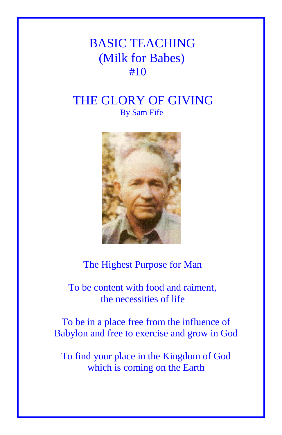## BASIC TEACHING (Milk for Babes) #10

## THE GLORY OF GIVING By Sam Fife



## The Highest Purpose for Man

 To be content with food and raiment, the necessities of life

To be in a place free from the influence of Babylon and free to exercise and grow in God

To find your place in the Kingdom of God which is coming on the Earth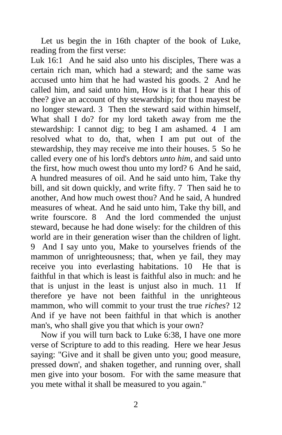Let us begin the in 16th chapter of the book of Luke, reading from the first verse:

Luk 16:1 And he said also unto his disciples, There was a certain rich man, which had a steward; and the same was accused unto him that he had wasted his goods. 2 And he called him, and said unto him, How is it that I hear this of thee? give an account of thy stewardship; for thou mayest be no longer steward. 3 Then the steward said within himself, What shall I do? for my lord taketh away from me the stewardship: I cannot dig; to beg I am ashamed. 4 I am resolved what to do, that, when I am put out of the stewardship, they may receive me into their houses. 5 So he called every one of his lord's debtors *unto him,* and said unto the first, how much owest thou unto my lord? 6 And he said, A hundred measures of oil. And he said unto him, Take thy bill, and sit down quickly, and write fifty. 7 Then said he to another, And how much owest thou? And he said, A hundred measures of wheat. And he said unto him, Take thy bill, and write fourscore. 8 And the lord commended the unjust steward, because he had done wisely: for the children of this world are in their generation wiser than the children of light. 9 And I say unto you, Make to yourselves friends of the mammon of unrighteousness; that, when ye fail, they may receive you into everlasting habitations. 10 He that is faithful in that which is least is faithful also in much: and he that is unjust in the least is unjust also in much. 11 If therefore ye have not been faithful in the unrighteous mammon, who will commit to your trust the true *riches*? 12 And if ye have not been faithful in that which is another man's, who shall give you that which is your own?

Now if you will turn back to Luke 6:38, I have one more verse of Scripture to add to this reading. Here we hear Jesus saying: "Give and it shall be given unto you; good measure, pressed down', and shaken together, and running over, shall men give into your bosom. For with the same measure that you mete withal it shall be measured to you again."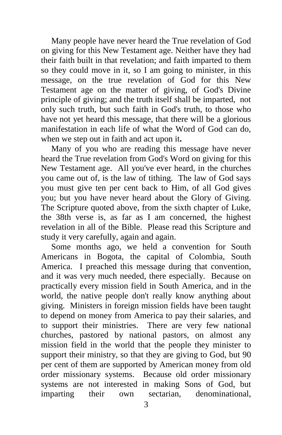Many people have never heard the True revelation of God on giving for this New Testament age. Neither have they had their faith built in that revelation; and faith imparted to them so they could move in it, so I am going to minister, in this message, on the true revelation of God for this New Testament age on the matter of giving, of God's Divine principle of giving; and the truth itself shall be imparted, not only such truth, but such faith in God's truth, to those who have not yet heard this message, that there will be a glorious manifestation in each life of what the Word of God can do, when we step out in faith and act upon it**.**

Many of you who are reading this message have never heard the True revelation from God's Word on giving for this New Testament age. All you've ever heard, in the churches you came out of, is the law of tithing. The law of God says you must give ten per cent back to Him, of all God gives you; but you have never heard about the Glory of Giving. The Scripture quoted above, from the sixth chapter of Luke, the 38th verse is, as far as I am concerned, the highest revelation in all of the Bible. Please read this Scripture and study it very carefully, again and again.

Some months ago, we held a convention for South Americans in Bogota, the capital of Colombia, South America. I preached this message during that convention, and it was very much needed, there especially. Because on practically every mission field in South America, and in the world, the native people don't really know anything about giving. Ministers in foreign mission fields have been taught to depend on money from America to pay their salaries, and to support their ministries. There are very few national churches, pastored by national pastors, on almost any mission field in the world that the people they minister to support their ministry, so that they are giving to God, but 90 per cent of them are supported by American money from old order missionary systems. Because old order missionary systems are not interested in making Sons of God, but imparting their own sectarian, denominational,

3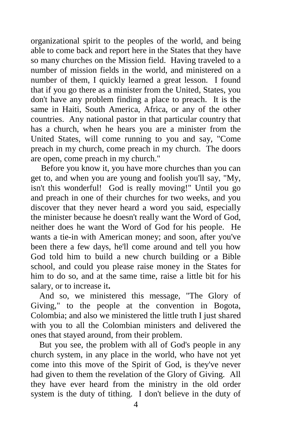organizational spirit to the peoples of the world, and being able to come back and report here in the States that they have so many churches on the Mission field. Having traveled to a number of mission fields in the world, and ministered on a number of them, I quickly learned a great lesson. I found that if you go there as a minister from the United, States, you don't have any problem finding a place to preach. It is the same in Haiti, South America, Africa, or any of the other countries. Any national pastor in that particular country that has a church, when he hears you are a minister from the United States, will come running to you and say, "Come preach in my church, come preach in my church. The doors are open, come preach in my church."

Before you know it, you have more churches than you can get to, and when you are young and foolish you'll say, "My, isn't this wonderful! God is really moving!" Until you go and preach in one of their churches for two weeks, and you discover that they never heard a word you said, especially the minister because he doesn't really want the Word of God, neither does he want the Word of God for his people. He wants a tie-in with American money; and soon, after you've been there a few days, he'll come around and tell you how God told him to build a new church building or a Bible school, and could you please raise money in the States for him to do so, and at the same time, raise a little bit for his salary, or to increase it**.**

 And so, we ministered this message, "The Glory of Giving," to the people at the convention in Bogota, Colombia; and also we ministered the little truth I just shared with you to all the Colombian ministers and delivered the ones that stayed around, from their problem.

 But you see, the problem with all of God's people in any church system, in any place in the world, who have not yet come into this move of the Spirit of God, is they've never had given to them the revelation of the Glory of Giving. All they have ever heard from the ministry in the old order system is the duty of tithing. I don't believe in the duty of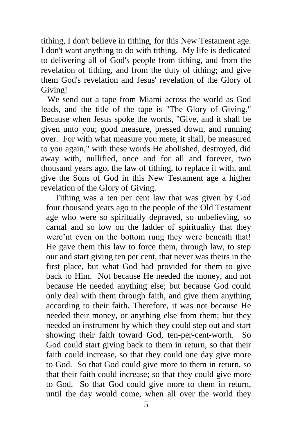tithing, I don't believe in tithing, for this New Testament age. I don't want anything to do with tithing. My life is dedicated to delivering all of God's people from tithing, and from the revelation of tithing, and from the duty of tithing; and give them God's revelation and Jesus' revelation of the Glory of Giving!

 We send out a tape from Miami across the world as God leads, and the title of the tape is "The Glory of Giving." Because when Jesus spoke the words, "Give, and it shall be given unto you; good measure, pressed down, and running over. For with what measure you mete, it shall, be measured to you again," with these words He abolished, destroyed, did away with, nullified, once and for all and forever, two thousand years ago, the law of tithing, to replace it with, and give the Sons of God in this New Testament age a higher revelation of the Glory of Giving.

 Tithing was a ten per cent law that was given by God four thousand years ago to the people of the Old Testament age who were so spiritually depraved, so unbelieving, so carnal and so low on the ladder of spirituality that they were'nt even on the bottom rung they were beneath that! He gave them this law to force them, through law, to step our and start giving ten per cent, that never was theirs in the first place, but what God had provided for them to give back to Him. Not because He needed the money, and not because He needed anything else; but because God could only deal with them through faith, and give them anything according to their faith. Therefore, it was not because He needed their money, or anything else from them; but they needed an instrument by which they could step out and start showing their faith toward God, ten-per-cent-worth. So God could start giving back to them in return, so that their faith could increase, so that they could one day give more to God. So that God could give more to them in return, so that their faith could increase; so that they could give more to God. So that God could give more to them in return, until the day would come, when all over the world they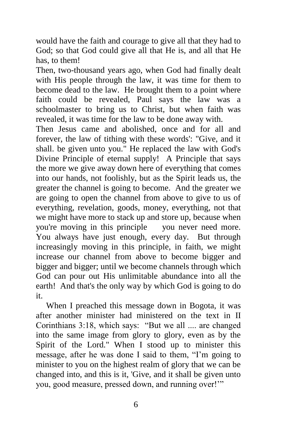would have the faith and courage to give all that they had to God; so that God could give all that He is, and all that He has, to them!

Then, two-thousand years ago, when God had finally dealt with His people through the law, it was time for them to become dead to the law. He brought them to a point where faith could be revealed, Paul says the law was a schoolmaster to bring us to Christ, but when faith was revealed, it was time for the law to be done away with.

Then Jesus came and abolished, once and for all and forever, the law of tithing with these words': "Give, and it shall. be given unto you." He replaced the law with God's Divine Principle of eternal supply! A Principle that says the more we give away down here of everything that comes into our hands, not foolishly, but as the Spirit leads us, the greater the channel is going to become. And the greater we are going to open the channel from above to give to us of everything, revelation, goods, money, everything, not that we might have more to stack up and store up, because when you're moving in this principle you never need more. You always have just enough, every day. But through increasingly moving in this principle, in faith, we might increase our channel from above to become bigger and bigger and bigger; until we become channels through which God can pour out His unlimitable abundance into all the earth! And that's the only way by which God is going to do it.

When I preached this message down in Bogota, it was after another minister had ministered on the text in II Corinthians 3:18, which says: "But we all .... are changed into the same image from glory to glory, even as by the Spirit of the Lord." When I stood up to minister this message, after he was done I said to them, "I'm going to minister to you on the highest realm of glory that we can be changed into, and this is it, 'Give, and it shall be given unto you, good measure, pressed down, and running over!'"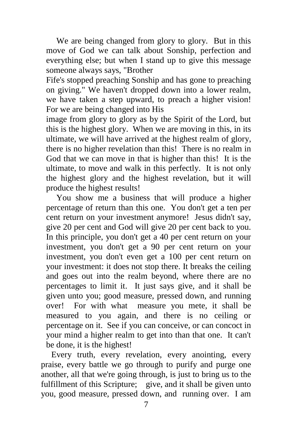We are being changed from glory to glory. But in this move of God we can talk about Sonship, perfection and everything else; but when I stand up to give this message someone always says, "Brother

Fife's stopped preaching Sonship and has gone to preaching on giving." We haven't dropped down into a lower realm, we have taken a step upward, to preach a higher vision! For we are being changed into His

image from glory to glory as by the Spirit of the Lord, but this is the highest glory. When we are moving in this, in its ultimate, we will have arrived at the highest realm of glory, there is no higher revelation than this! There is no realm in God that we can move in that is higher than this! It is the ultimate, to move and walk in this perfectly. It is not only the highest glory and the highest revelation, but it will produce the highest results!

You show me a business that will produce a higher percentage of return than this one. You don't get a ten per cent return on your investment anymore! Jesus didn't say, give 20 per cent and God will give 20 per cent back to you. In this principle, you don't get a 40 per cent return on your investment, you don't get a 90 per cent return on your investment, you don't even get a 100 per cent return on your investment: it does not stop there. It breaks the ceiling and goes out into the realm beyond, where there are no percentages to limit it. It just says give, and it shall be given unto you; good measure, pressed down, and running over! For with what measure you mete, it shall be measured to you again, and there is no ceiling or percentage on it. See if you can conceive, or can concoct in your mind a higher realm to get into than that one. It can't be done, it is the highest!

Every truth, every revelation, every anointing, every praise, every battle we go through to purify and purge one another, all that we're going through, is just to bring us to the fulfillment of this Scripture; give, and it shall be given unto you, good measure, pressed down, and running over. I am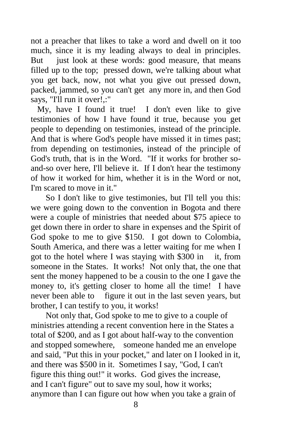not a preacher that likes to take a word and dwell on it too much, since it is my leading always to deal in principles. But just look at these words: good measure, that means filled up to the top; pressed down, we're talking about what you get back, now, not what you give out pressed down, packed, jammed, so you can't get any more in, and then God says, "I'll run it over!,:"

 My, have I found it true! I don't even like to give testimonies of how I have found it true, because you get people to depending on testimonies, instead of the principle. And that is where God's people have missed it in times past; from depending on testimonies, instead of the principle of God's truth, that is in the Word. "If it works for brother soand-so over here, I'll believe it. If I don't hear the testimony of how it worked for him, whether it is in the Word or not, I'm scared to move in it."

 So I don't like to give testimonies, but I'll tell you this: we were going down to the convention in Bogota and there were a couple of ministries that needed about \$75 apiece to get down there in order to share in expenses and the Spirit of God spoke to me to give \$150. I got down to Colombia, South America, and there was a letter waiting for me when I got to the hotel where I was staying with \$300 in it, from someone in the States. It works! Not only that, the one that sent the money happened to be a cousin to the one I gave the money to, it's getting closer to home all the time! I have never been able to figure it out in the last seven years, but brother, I can testify to you, it works!

 Not only that, God spoke to me to give to a couple of ministries attending a recent convention here in the States a total of \$200, and as I got about half-way to the convention and stopped somewhere, someone handed me an envelope and said, "Put this in your pocket," and later on I looked in it, and there was \$500 in it. Sometimes I say, "God, I can't figure this thing out!" it works. God gives the increase, and I can't figure" out to save my soul, how it works; anymore than I can figure out how when you take a grain of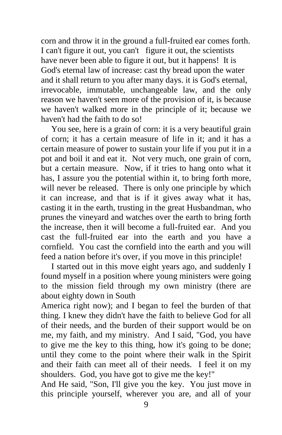corn and throw it in the ground a full-fruited ear comes forth. I can't figure it out, you can't figure it out, the scientists have never been able to figure it out, but it happens! It is God's eternal law of increase: cast thy bread upon the water and it shall return to you after many days. it is God's eternal, irrevocable, immutable, unchangeable law, and the only reason we haven't seen more of the provision of it, is because we haven't walked more in the principle of it; because we haven't had the faith to do so!

You see, here is a grain of corn: it is a very beautiful grain of corn; it has a certain measure of life in it; and it has a certain measure of power to sustain your life if you put it in a pot and boil it and eat it. Not very much, one grain of corn, but a certain measure. Now, if it tries to hang onto what it has, I assure you the potential within it, to bring forth more, will never be released. There is only one principle by which it can increase, and that is if it gives away what it has, casting it in the earth, trusting in the great Husbandman, who prunes the vineyard and watches over the earth to bring forth the increase, then it will become a full-fruited ear. And you cast the full-fruited ear into the earth and you have a cornfield. You cast the cornfield into the earth and you will feed a nation before it's over, if you move in this principle!

I started out in this move eight years ago, and suddenly I found myself in a position where young ministers were going to the mission field through my own ministry (there are about eighty down in South

America right now); and I began to feel the burden of that thing. I knew they didn't have the faith to believe God for all of their needs, and the burden of their support would be on me, my faith, and my ministry. And I said, "God, you have to give me the key to this thing, how it's going to be done; until they come to the point where their walk in the Spirit and their faith can meet all of their needs. I feel it on my shoulders. God, you have got to give me the key!"

And He said, "Son, I'll give you the key. You just move in this principle yourself, wherever you are, and all of your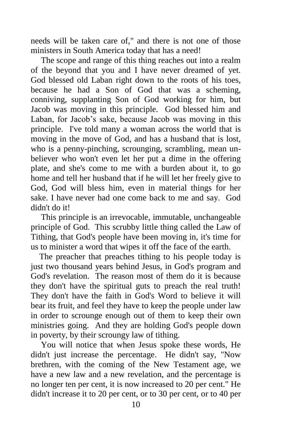needs will be taken care of," and there is not one of those ministers in South America today that has a need!

The scope and range of this thing reaches out into a realm of the beyond that you and I have never dreamed of yet. God blessed old Laban right down to the roots of his toes, because he had a Son of God that was a scheming, conniving, supplanting Son of God working for him, but Jacob was moving in this principle. God blessed him and Laban, for Jacob's sake, because Jacob was moving in this principle. I've told many a woman across the world that is moving in the move of God, and has a husband that is lost, who is a penny-pinching, scrounging, scrambling, mean unbeliever who won't even let her put a dime in the offering plate, and she's come to me with a burden about it, to go home and tell her husband that if he will let her freely give to God, God will bless him, even in material things for her sake. I have never had one come back to me and say. God didn't do it!

This principle is an irrevocable, immutable, unchangeable principle of God. This scrubby little thing called the Law of Tithing, that God's people have been moving in, it's time for us to minister a word that wipes it off the face of the earth.

 The preacher that preaches tithing to his people today is just two thousand years behind Jesus, in God's program and God's revelation. The reason most of them do it is because they don't have the spiritual guts to preach the real truth! They don't have the faith in God's Word to believe it will bear its fruit, and feel they have to keep the people under law in order to scrounge enough out of them to keep their own ministries going. And they are holding God's people down in poverty, by their scroungy law of tithing.

You will notice that when Jesus spoke these words, He didn't just increase the percentage. He didn't say, "Now brethren, with the coming of the New Testament age, we have a new law and a new revelation, and the percentage is no longer ten per cent, it is now increased to 20 per cent." He didn't increase it to 20 per cent, or to 30 per cent, or to 40 per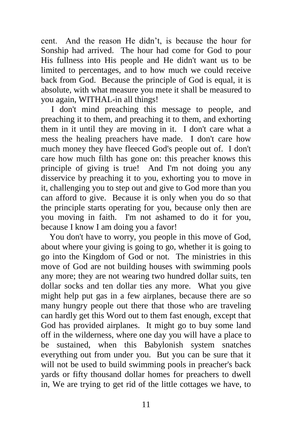cent. And the reason He didn't, is because the hour for Sonship had arrived. The hour had come for God to pour His fullness into His people and He didn't want us to be limited to percentages, and to how much we could receive back from God. Because the principle of God is equal, it is absolute, with what measure you mete it shall be measured to you again, WITHAL-in all things!

I don't mind preaching this message to people, and preaching it to them, and preaching it to them, and exhorting them in it until they are moving in it. I don't care what a mess the healing preachers have made. I don't care how much money they have fleeced God's people out of. I don't care how much filth has gone on: this preacher knows this principle of giving is true! And I'm not doing you any disservice by preaching it to you, exhorting you to move in it, challenging you to step out and give to God more than you can afford to give. Because it is only when you do so that the principle starts operating for you, because only then are you moving in faith. I'm not ashamed to do it for you, because I know I am doing you a favor!

 You don't have to worry, you people in this move of God, about where your giving is going to go, whether it is going to go into the Kingdom of God or not. The ministries in this move of God are not building houses with swimming pools any more; they are not wearing two hundred dollar suits, ten dollar socks and ten dollar ties any more. What you give might help put gas in a few airplanes, because there are so many hungry people out there that those who are traveling can hardly get this Word out to them fast enough, except that God has provided airplanes. It might go to buy some land off in the wilderness, where one day you will have a place to be sustained, when this Babylonish system snatches everything out from under you. But you can be sure that it will not be used to build swimming pools in preacher's back yards or fifty thousand dollar homes for preachers to dwell in, We are trying to get rid of the little cottages we have, to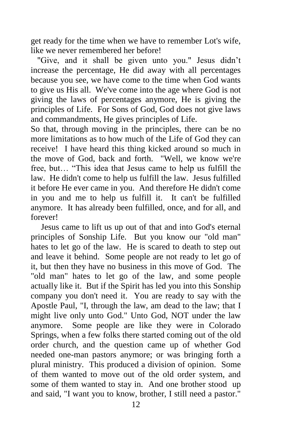get ready for the time when we have to remember Lot's wife, like we never remembered her before!

 "Give, and it shall be given unto you." Jesus didn't increase the percentage, He did away with all percentages because you see, we have come to the time when God wants to give us His all. We've come into the age where God is not giving the laws of percentages anymore, He is giving the principles of Life. For Sons of God, God does not give laws and commandments, He gives principles of Life.

So that, through moving in the principles, there can be no more limitations as to how much of the Life of God they can receive! I have heard this thing kicked around so much in the move of God, back and forth. "Well, we know we're free, but… "This idea that Jesus came to help us fulfill the law. He didn't come to help us fulfill the law. Jesus fulfilled it before He ever came in you. And therefore He didn't come in you and me to help us fulfill it. It can't be fulfilled anymore. It has already been fulfilled, once, and for all, and forever!

Jesus came to lift us up out of that and into God's eternal principles of Sonship Life. But you know our "old man" hates to let go of the law. He is scared to death to step out and leave it behind. Some people are not ready to let go of it, but then they have no business in this move of God. The "old man" hates to let go of the law, and some people actually like it. But if the Spirit has led you into this Sonship company you don't need it. You are ready to say with the Apostle Paul, "I, through the law, am dead to the law; that I might live only unto God." Unto God, NOT under the law anymore. Some people are like they were in Colorado Springs, when a few folks there started coming out of the old order church, and the question came up of whether God needed one-man pastors anymore; or was bringing forth a plural ministry. This produced a division of opinion. Some of them wanted to move out of the old order system, and some of them wanted to stay in. And one brother stood up and said, "I want you to know, brother, I still need a pastor."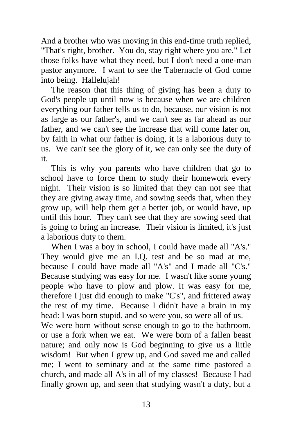And a brother who was moving in this end-time truth replied, "That's right, brother. You do, stay right where you are." Let those folks have what they need, but I don't need a one-man pastor anymore. I want to see the Tabernacle of God come into being. Hallelujah!

The reason that this thing of giving has been a duty to God's people up until now is because when we are children everything our father tells us to do, because. our vision is not as large as our father's, and we can't see as far ahead as our father, and we can't see the increase that will come later on, by faith in what our father is doing, it is a laborious duty to us. We can't see the glory of it, we can only see the duty of it.

This is why you parents who have children that go to school have to force them to study their homework every night. Their vision is so limited that they can not see that they are giving away time, and sowing seeds that, when they grow up, will help them get a better job, or would have, up until this hour. They can't see that they are sowing seed that is going to bring an increase. Their vision is limited, it's just a laborious duty to them.

When I was a boy in school, I could have made all "A's." They would give me an I.Q. test and be so mad at me, because I could have made all "A's" and I made all "C's." Because studying was easy for me. I wasn't like some young people who have to plow and plow. It was easy for me, therefore I just did enough to make "C's", and frittered away the rest of my time. Because I didn't have a brain in my head: I was born stupid, and so were you, so were all of us.

We were born without sense enough to go to the bathroom, or use a fork when we eat. We were born of a fallen beast nature; and only now is God beginning to give us a little wisdom! But when I grew up, and God saved me and called me; I went to seminary and at the same time pastored a church, and made all A's in all of my classes! Because I had finally grown up, and seen that studying wasn't a duty, but a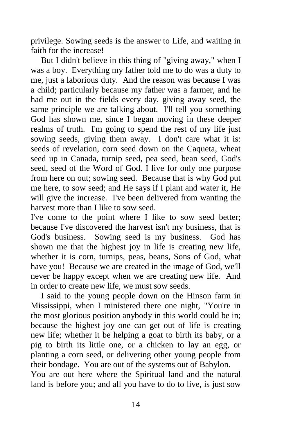privilege. Sowing seeds is the answer to Life, and waiting in faith for the increase!

But I didn't believe in this thing of "giving away," when I was a boy. Everything my father told me to do was a duty to me, just a laborious duty. And the reason was because I was a child; particularly because my father was a farmer, and he had me out in the fields every day, giving away seed, the same principle we are talking about. I'll tell you something God has shown me, since I began moving in these deeper realms of truth. I'm going to spend the rest of my life just sowing seeds, giving them away. I don't care what it is: seeds of revelation, corn seed down on the Caqueta, wheat seed up in Canada, turnip seed, pea seed, bean seed, God's seed, seed of the Word of God. I live for only one purpose from here on out; sowing seed. Because that is why God put me here, to sow seed; and He says if I plant and water it, He will give the increase. I've been delivered from wanting the harvest more than I like to sow seed.

I've come to the point where I like to sow seed better; because I've discovered the harvest isn't my business, that is God's business. Sowing seed is my business. God has shown me that the highest joy in life is creating new life, whether it is corn, turnips, peas, beans, Sons of God, what have you! Because we are created in the image of God, we'll never be happy except when we are creating new life. And in order to create new life, we must sow seeds.

I said to the young people down on the Hinson farm in Mississippi, when I ministered there one night, "You're in the most glorious position anybody in this world could be in; because the highest joy one can get out of life is creating new life; whether it be helping a goat to birth its baby, or a pig to birth its little one, or a chicken to lay an egg, or planting a corn seed, or delivering other young people from their bondage. You are out of the systems out of Babylon.

You are out here where the Spiritual land and the natural land is before you; and all you have to do to live, is just sow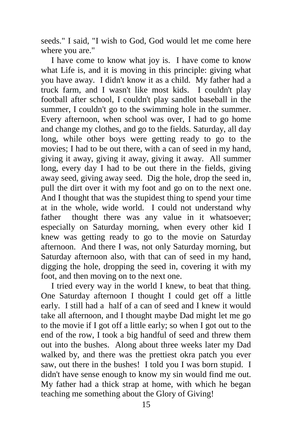seeds." I said, "I wish to God, God would let me come here where you are."

I have come to know what joy is. I have come to know what Life is, and it is moving in this principle: giving what you have away. I didn't know it as a child. My father had a truck farm, and I wasn't like most kids. I couldn't play football after school, I couldn't play sandlot baseball in the summer, I couldn't go to the swimming hole in the summer. Every afternoon, when school was over, I had to go home and change my clothes, and go to the fields. Saturday, all day long, while other boys were getting ready to go to the movies; I had to be out there, with a can of seed in my hand, giving it away, giving it away, giving it away. All summer long, every day I had to be out there in the fields, giving away seed, giving away seed. Dig the hole, drop the seed in, pull the dirt over it with my foot and go on to the next one. And I thought that was the stupidest thing to spend your time at in the whole, wide world. I could not understand why father thought there was any value in it whatsoever; especially on Saturday morning, when every other kid I knew was getting ready to go to the movie on Saturday afternoon. And there I was, not only Saturday morning, but Saturday afternoon also, with that can of seed in my hand, digging the hole, dropping the seed in, covering it with my foot, and then moving on to the next one.

I tried every way in the world I knew, to beat that thing. One Saturday afternoon I thought I could get off a little early. I still had a half of a can of seed and I knew it would take all afternoon, and I thought maybe Dad might let me go to the movie if I got off a little early; so when I got out to the end of the row, I took a big handful of seed and threw them out into the bushes. Along about three weeks later my Dad walked by, and there was the prettiest okra patch you ever saw, out there in the bushes! I told you I was born stupid. I didn't have sense enough to know my sin would find me out. My father had a thick strap at home, with which he began teaching me something about the Glory of Giving!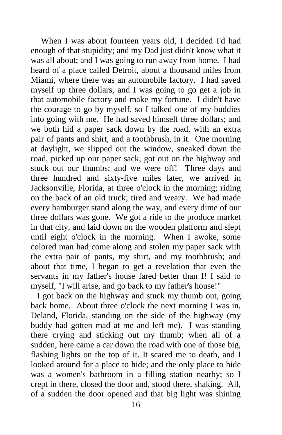When I was about fourteen years old, I decided I'd had enough of that stupidity; and my Dad just didn't know what it was all about; and I was going to run away from home. I had heard of a place called Detroit, about a thousand miles from Miami, where there was an automobile factory. I had saved myself up three dollars, and I was going to go get a job in that automobile factory and make my fortune. I didn't have the courage to go by myself, so I talked one of my buddies into going with me. He had saved himself three dollars; and we both hid a paper sack down by the road, with an extra pair of pants and shirt, and a toothbrush, in it. One morning at daylight, we slipped out the window, sneaked down the road, picked up our paper sack, got out on the highway and stuck out our thumbs; and we were off! Three days and three hundred and sixty-five miles later, we arrived in Jacksonville, Florida, at three o'clock in the morning; riding on the back of an old truck; tired and weary. We had made every hamburger stand along the way, and every dime of our three dollars was gone. We got a ride to the produce market in that city, and laid down on the wooden platform and slept until eight o'clock in the morning. When I awoke, some colored man had come along and stolen my paper sack with the extra pair of pants, my shirt, and my toothbrush; and about that time, I began to get a revelation that even the servants in my father's house fared better than I! I said to myself, "I will arise, and go back to my father's house!"

 I got back on the highway and stuck my thumb out, going back home. About three o'clock the next morning I was in, Deland, Florida, standing on the side of the highway (my buddy had gotten mad at me and left me). I was standing there crying and sticking out my thumb; when all of a sudden, here came a car down the road with one of those big, flashing lights on the top of it. It scared me to death, and I looked around for a place to hide; and the only place to hide was a women's bathroom in a filling station nearby; so I crept in there, closed the door and, stood there, shaking. All, of a sudden the door opened and that big light was shining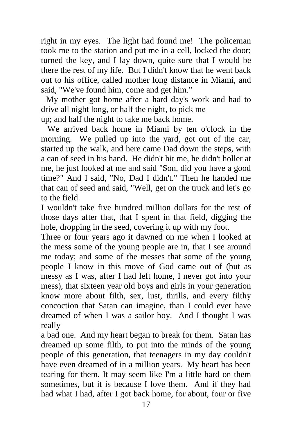right in my eyes. The light had found me! The policeman took me to the station and put me in a cell, locked the door; turned the key, and I lay down, quite sure that I would be there the rest of my life. But I didn't know that he went back out to his office, called mother long distance in Miami, and said, "We've found him, come and get him."

My mother got home after a hard day's work and had to drive all night long, or half the night, to pick me

up; and half the night to take me back home.

 We arrived back home in Miami by ten o'clock in the morning. We pulled up into the yard, got out of the car, started up the walk, and here came Dad down the steps, with a can of seed in his hand. He didn't hit me, he didn't holler at me, he just looked at me and said "Son, did you have a good time?" And I said, "No, Dad I didn't." Then he handed me that can of seed and said, "Well, get on the truck and let's go to the field.

I wouldn't take five hundred million dollars for the rest of those days after that, that I spent in that field, digging the hole, dropping in the seed, covering it up with my foot.

Three or four years ago it dawned on me when I looked at the mess some of the young people are in, that I see around me today; and some of the messes that some of the young people I know in this move of God came out of (but as messy as I was, after I had left home, I never got into your mess), that sixteen year old boys and girls in your generation know more about filth, sex, lust, thrills, and every filthy concoction that Satan can imagine, than I could ever have dreamed of when I was a sailor boy. And I thought I was really

a bad one. And my heart began to break for them. Satan has dreamed up some filth, to put into the minds of the young people of this generation, that teenagers in my day couldn't have even dreamed of in a million years. My heart has been tearing for them. It may seem like I'm a little hard on them sometimes, but it is because I love them. And if they had had what I had, after I got back home, for about, four or five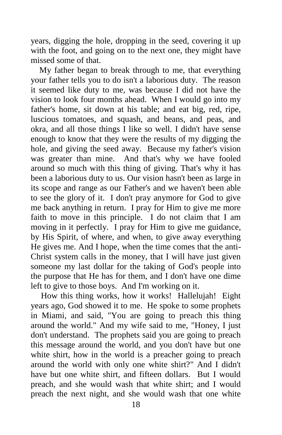years, digging the hole, dropping in the seed, covering it up with the foot, and going on to the next one, they might have missed some of that.

 My father began to break through to me, that everything your father tells you to do isn't a laborious duty. The reason it seemed like duty to me, was because I did not have the vision to look four months ahead. When I would go into my father's home, sit down at his table; and eat big, red, ripe, luscious tomatoes, and squash, and beans, and peas, and okra, and all those things I like so well. I didn't have sense enough to know that they were the results of my digging the hole, and giving the seed away. Because my father's vision was greater than mine. And that's why we have fooled around so much with this thing of giving. That's why it has been a laborious duty to us. Our vision hasn't been as large in its scope and range as our Father's and we haven't been able to see the glory of it. I don't pray anymore for God to give me back anything in return. I pray for Him to give me more faith to move in this principle. I do not claim that I am moving in it perfectly. I pray for Him to give me guidance, by His Spirit, of where, and when, to give away everything He gives me. And I hope, when the time comes that the anti-Christ system calls in the money, that I will have just given someone my last dollar for the taking of God's people into the purpose that He has for them, and I don't have one dime left to give to those boys. And I'm working on it.

How this thing works, how it works! Hallelujah! Eight years ago, God showed it to me. He spoke to some prophets in Miami, and said, "You are going to preach this thing around the world." And my wife said to me, "Honey, I just don't understand. The prophets said you are going to preach this message around the world, and you don't have but one white shirt, how in the world is a preacher going to preach around the world with only one white shirt?" And I didn't have but one white shirt, and fifteen dollars. But I would preach, and she would wash that white shirt; and I would preach the next night, and she would wash that one white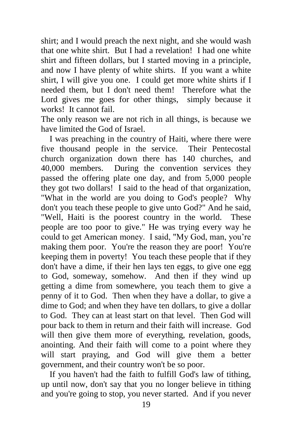shirt; and I would preach the next night, and she would wash that one white shirt. But I had a revelation! I had one white shirt and fifteen dollars, but I started moving in a principle, and now I have plenty of white shirts. If you want a white shirt, I will give you one. I could get more white shirts if I needed them, but I don't need them! Therefore what the Lord gives me goes for other things, simply because it works! It cannot fail.

The only reason we are not rich in all things, is because we have limited the God of Israel.

 I was preaching in the country of Haiti, where there were five thousand people in the service. Their Pentecostal church organization down there has 140 churches, and 40,000 members. During the convention services they passed the offering plate one day, and from 5,000 people they got two dollars! I said to the head of that organization, "What in the world are you doing to God's people? Why don't you teach these people to give unto God?" And he said, "Well, Haiti is the poorest country in the world. These people are too poor to give." He was trying every way he could to get American money. I said, "My God, man, you're making them poor. You're the reason they are poor! You're keeping them in poverty! You teach these people that if they don't have a dime, if their hen lays ten eggs, to give one egg to God, someway, somehow. And then if they wind up getting a dime from somewhere, you teach them to give a penny of it to God. Then when they have a dollar, to give a dime to God; and when they have ten dollars, to give a dollar to God. They can at least start on that level. Then God will pour back to them in return and their faith will increase. God will then give them more of everything, revelation, goods, anointing. And their faith will come to a point where they will start praying, and God will give them a better government, and their country won't be so poor.

 If you haven't had the faith to fulfill God's law of tithing, up until now, don't say that you no longer believe in tithing and you're going to stop, you never started. And if you never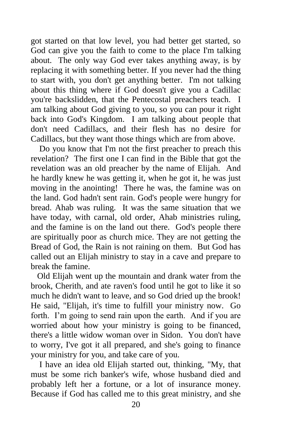got started on that low level, you had better get started, so God can give you the faith to come to the place I'm talking about. The only way God ever takes anything away, is by replacing it with something better. If you never had the thing to start with, you don't get anything better. I'm not talking about this thing where if God doesn't give you a Cadillac you're backslidden, that the Pentecostal preachers teach. I am talking about God giving to you, so you can pour it right back into God's Kingdom. I am talking about people that don't need Cadillacs, and their flesh has no desire for Cadillacs, but they want those things which are from above.

 Do you know that I'm not the first preacher to preach this revelation? The first one I can find in the Bible that got the revelation was an old preacher by the name of Elijah. And he hardly knew he was getting it, when he got it, he was just moving in the anointing! There he was, the famine was on the land. God hadn't sent rain. God's people were hungry for bread. Ahab was ruling. It was the same situation that we have today, with carnal, old order, Ahab ministries ruling, and the famine is on the land out there. God's people there are spiritually poor as church mice. They are not getting the Bread of God, the Rain is not raining on them. But God has called out an Elijah ministry to stay in a cave and prepare to break the famine.

 Old Elijah went up the mountain and drank water from the brook, Cherith, and ate raven's food until he got to like it so much he didn't want to leave, and so God dried up the brook! He said, "Elijah, it's time to fulfill your ministry now. Go forth. I'm going to send rain upon the earth. And if you are worried about how your ministry is going to be financed, there's a little widow woman over in Sidon. You don't have to worry, I've got it all prepared, and she's going to finance your ministry for you, and take care of you.

 I have an idea old Elijah started out, thinking, "My, that must be some rich banker's wife, whose husband died and probably left her a fortune, or a lot of insurance money. Because if God has called me to this great ministry, and she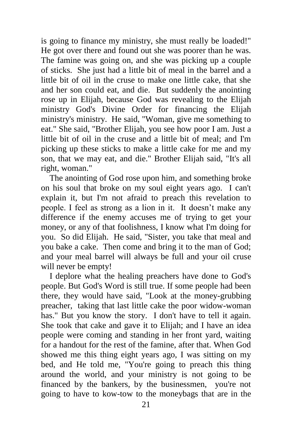is going to finance my ministry, she must really be loaded!" He got over there and found out she was poorer than he was. The famine was going on, and she was picking up a couple of sticks. She just had a little bit of meal in the barrel and a little bit of oil in the cruse to make one little cake, that she and her son could eat, and die. But suddenly the anointing rose up in Elijah, because God was revealing to the Elijah ministry God's Divine Order for financing the Elijah ministry's ministry. He said, "Woman, give me something to eat." She said, "Brother Elijah, you see how poor I am. Just a little bit of oil in the cruse and a little bit of meal; and I'm picking up these sticks to make a little cake for me and my son, that we may eat, and die." Brother Elijah said, "It's all right, woman."

 The anointing of God rose upon him, and something broke on his soul that broke on my soul eight years ago. I can't explain it, but I'm not afraid to preach this revelation to people. I feel as strong as a lion in it. It doesn't make any difference if the enemy accuses me of trying to get your money, or any of that foolishness, I know what I'm doing for you. So did Elijah. He said, "Sister, you take that meal and you bake a cake. Then come and bring it to the man of God; and your meal barrel will always be full and your oil cruse will never be empty!

 I deplore what the healing preachers have done to God's people. But God's Word is still true. If some people had been there, they would have said, "Look at the money-grubbing preacher, taking that last little cake the poor widow-woman has." But you know the story. I don't have to tell it again. She took that cake and gave it to Elijah; and I have an idea people were coming and standing in her front yard, waiting for a handout for the rest of the famine, after that. When God showed me this thing eight years ago, I was sitting on my bed, and He told me, "You're going to preach this thing around the world, and your ministry is not going to be financed by the bankers, by the businessmen, you're not going to have to kow-tow to the moneybags that are in the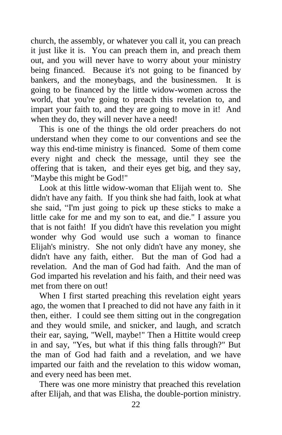church, the assembly, or whatever you call it, you can preach it just like it is. You can preach them in, and preach them out, and you will never have to worry about your ministry being financed. Because it's not going to be financed by bankers, and the moneybags, and the businessmen. It is going to be financed by the little widow-women across the world, that you're going to preach this revelation to, and impart your faith to, and they are going to move in it! And when they do, they will never have a need!

 This is one of the things the old order preachers do not understand when they come to our conventions and see the way this end-time ministry is financed. Some of them come every night and check the message, until they see the offering that is taken, and their eyes get big, and they say, "Maybe this might be God!"

 Look at this little widow-woman that Elijah went to. She didn't have any faith. If you think she had faith, look at what she said, "I'm just going to pick up these sticks to make a little cake for me and my son to eat, and die." I assure you that is not faith! If you didn't have this revelation you might wonder why God would use such a woman to finance Elijah's ministry. She not only didn't have any money, she didn't have any faith, either. But the man of God had a revelation. And the man of God had faith. And the man of God imparted his revelation and his faith, and their need was met from there on out!

 When I first started preaching this revelation eight years ago, the women that I preached to did not have any faith in it then, either. I could see them sitting out in the congregation and they would smile, and snicker, and laugh, and scratch their ear, saying, "Well, maybe!" Then a Hittite would creep in and say, "Yes, but what if this thing falls through?" But the man of God had faith and a revelation, and we have imparted our faith and the revelation to this widow woman, and every need has been met.

 There was one more ministry that preached this revelation after Elijah, and that was Elisha, the double-portion ministry.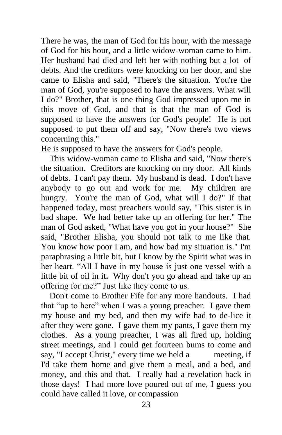There he was, the man of God for his hour, with the message of God for his hour, and a little widow-woman came to him. Her husband had died and left her with nothing but a lot of debts. And the creditors were knocking on her door, and she came to Elisha and said, "There's the situation. You're the man of God, you're supposed to have the answers. What will I do?" Brother, that is one thing God impressed upon me in this move of God, and that is that the man of God is supposed to have the answers for God's people! He is not supposed to put them off and say, "Now there's two views concerning this."

He is supposed to have the answers for God's people.

 This widow-woman came to Elisha and said, "Now there's the situation. Creditors are knocking on my door. All kinds of debts. I can't pay them. My husband is dead. I don't have anybody to go out and work for me. My children are hungry. You're the man of God, what will I do?" If that happened today, most preachers would say, "This sister is in bad shape. We had better take up an offering for her." The man of God asked, "What have you got in your house?" She said, "Brother Elisha, you should not talk to me like that. You know how poor I am, and how bad my situation is." I'm paraphrasing a little bit, but I know by the Spirit what was in her heart. "All I have in my house is just one vessel with a little bit of oil in it**.** Why don't you go ahead and take up an offering for me?" Just like they come to us.

 Don't come to Brother Fife for any more handouts. I had that "up to here" when I was a young preacher. I gave them my house and my bed, and then my wife had to de-lice it after they were gone. I gave them my pants, I gave them my clothes. As a young preacher, I was all fired up, holding street meetings, and I could get fourteen bums to come and say, "I accept Christ," every time we held a meeting, if I'd take them home and give them a meal, and a bed, and money, and this and that. I really had a revelation back in those days! I had more love poured out of me, I guess you could have called it love, or compassion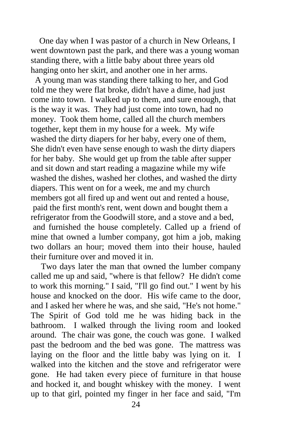One day when I was pastor of a church in New Orleans, I went downtown past the park, and there was a young woman standing there, with a little baby about three years old hanging onto her skirt, and another one in her arms.

 A young man was standing there talking to her, and God told me they were flat broke, didn't have a dime, had just come into town. I walked up to them, and sure enough, that is the way it was. They had just come into town, had no money. Took them home, called all the church members together, kept them in my house for a week. My wife washed the dirty diapers for her baby, every one of them, She didn't even have sense enough to wash the dirty diapers for her baby. She would get up from the table after supper and sit down and start reading a magazine while my wife washed the dishes, washed her clothes, and washed the dirty diapers. This went on for a week, me and my church members got all fired up and went out and rented a house, paid the first month's rent, went down and bought them a refrigerator from the Goodwill store, and a stove and a bed, and furnished the house completely. Called up a friend of mine that owned a lumber company, got him a job, making two dollars an hour; moved them into their house, hauled their furniture over and moved it in.

Two days later the man that owned the lumber company called me up and said, "where is that fellow? He didn't come to work this morning." I said, "I'll go find out." I went by his house and knocked on the door. His wife came to the door, and I asked her where he was, and she said, "He's not home." The Spirit of God told me he was hiding back in the bathroom. I walked through the living room and looked around. The chair was gone, the couch was gone. I walked past the bedroom and the bed was gone. The mattress was laying on the floor and the little baby was lying on it. I walked into the kitchen and the stove and refrigerator were gone. He had taken every piece of furniture in that house and hocked it, and bought whiskey with the money. I went up to that girl, pointed my finger in her face and said, "I'm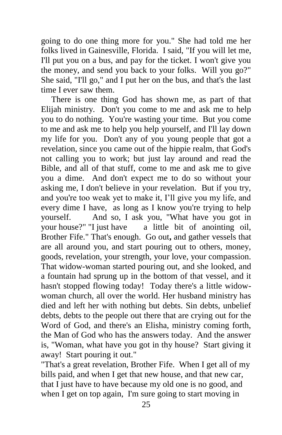going to do one thing more for you." She had told me her folks lived in Gainesville, Florida. I said, "If you will let me, I'll put you on a bus, and pay for the ticket. I won't give you the money, and send you back to your folks. Will you go?" She said, "I'll go," and I put her on the bus, and that's the last time I ever saw them.

There is one thing God has shown me, as part of that Elijah ministry. Don't you come to me and ask me to help you to do nothing. You're wasting your time. But you come to me and ask me to help you help yourself, and I'll lay down my life for you. Don't any of you young people that got a revelation, since you came out of the hippie realm, that God's not calling you to work; but just lay around and read the Bible, and all of that stuff, come to me and ask me to give you a dime. And don't expect me to do so without your asking me, I don't believe in your revelation. But if you try, and you're too weak yet to make it, I'll give you my life, and every dime I have, as long as I know you're trying to help yourself. And so, I ask you, "What have you got in your house?" "I just have a little bit of anointing oil, Brother Fife." That's enough. Go out**,** and gather vessels that are all around you, and start pouring out to others, money, goods, revelation, your strength, your love, your compassion. That widow-woman started pouring out, and she looked, and a fountain had sprung up in the bottom of that vessel, and it hasn't stopped flowing today! Today there's a little widowwoman church, all over the world. Her husband ministry has died and left her with nothing but debts. Sin debts, unbelief debts, debts to the people out there that are crying out for the Word of God, and there's an Elisha, ministry coming forth, the Man of God who has the answers today. And the answer is, "Woman, what have you got in thy house? Start giving it away! Start pouring it out."

"That's a great revelation, Brother Fife. When I get all of my bills paid, and when I get that new house, and that new car, that I just have to have because my old one is no good, and when I get on top again, I'm sure going to start moving in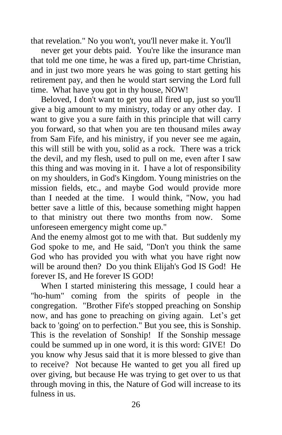that revelation." No you won't, you'll never make it. You'll

never get your debts paid. You're like the insurance man that told me one time, he was a fired up, part-time Christian, and in just two more years he was going to start getting his retirement pay, and then he would start serving the Lord full time. What have you got in thy house, NOW!

Beloved, I don't want to get you all fired up, just so you'll give a big amount to my ministry, today or any other day. I want to give you a sure faith in this principle that will carry you forward, so that when you are ten thousand miles away from Sam Fife, and his ministry, if you never see me again, this will still be with you, solid as a rock. There was a trick the devil, and my flesh, used to pull on me, even after I saw this thing and was moving in it. I have a lot of responsibility on my shoulders, in God's Kingdom. Young ministries on the mission fields, etc., and maybe God would provide more than I needed at the time. I would think, "Now, you had better save a little of this, because something might happen to that ministry out there two months from now. Some unforeseen emergency might come up."

And the enemy almost got to me with that. But suddenly my God spoke to me, and He said, "Don't you think the same God who has provided you with what you have right now will be around then? Do you think Elijah's God IS God! He forever IS, and He forever IS GOD!

When I started ministering this message, I could hear a "ho-hum" coming from the spirits of people in the congregation. "Brother Fife's stopped preaching on Sonship now, and has gone to preaching on giving again. Let's get back to 'going' on to perfection." But you see, this is Sonship. This is the revelation of Sonship! If the Sonship message could be summed up in one word, it is this word: GIVE! Do you know why Jesus said that it is more blessed to give than to receive? Not because He wanted to get you all fired up over giving, but because He was trying to get over to us that through moving in this, the Nature of God will increase to its fulness in us.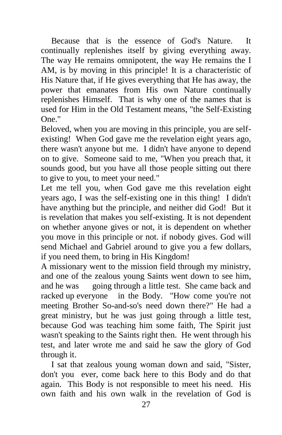Because that is the essence of God's Nature. It continually replenishes itself by giving everything away. The way He remains omnipotent, the way He remains the I AM, is by moving in this principle! It is a characteristic of His Nature that, if He gives everything that He has away, the power that emanates from His own Nature continually replenishes Himself. That is why one of the names that is used for Him in the Old Testament means, "the Self-Existing One."

Beloved, when you are moving in this principle, you are selfexisting! When God gave me the revelation eight years ago, there wasn't anyone but me. I didn't have anyone to depend on to give. Someone said to me, "When you preach that, it sounds good, but you have all those people sitting out there to give to you, to meet your need."

Let me tell you, when God gave me this revelation eight years ago, I was the self-existing one in this thing! I didn't have anything but the principle, and neither did God! But it is revelation that makes you self-existing. It is not dependent on whether anyone gives or not, it is dependent on whether you move in this principle or not. if nobody gives. God will send Michael and Gabriel around to give you a few dollars, if you need them, to bring in His Kingdom!

A missionary went to the mission field through my ministry, and one of the zealous young Saints went down to see him, and he was going through a little test. She came back and racked up everyone in the Body. "How come you're not meeting Brother So-and-so's need down there?" He had a great ministry, but he was just going through a little test, because God was teaching him some faith, The Spirit just wasn't speaking to the Saints right then. He went through his test, and later wrote me and said he saw the glory of God through it.

I sat that zealous young woman down and said, "Sister, don't you ever, come back here to this Body and do that again. This Body is not responsible to meet his need. His own faith and his own walk in the revelation of God is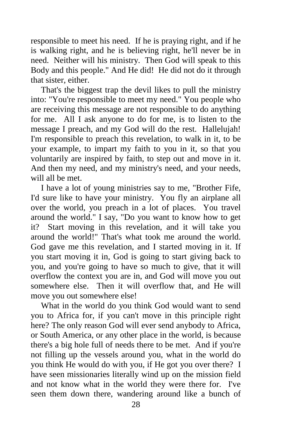responsible to meet his need. If he is praying right, and if he is walking right, and he is believing right, he'll never be in need. Neither will his ministry. Then God will speak to this Body and this people." And He did! He did not do it through that sister, either.

That's the biggest trap the devil likes to pull the ministry into: "You're responsible to meet my need." You people who are receiving this message are not responsible to do anything for me. All I ask anyone to do for me, is to listen to the message I preach, and my God will do the rest. Hallelujah! I'm responsible to preach this revelation, to walk in it, to be your example, to impart my faith to you in it, so that you voluntarily are inspired by faith, to step out and move in it. And then my need, and my ministry's need, and your needs, will all be met.

I have a lot of young ministries say to me, "Brother Fife, I'd sure like to have your ministry. You fly an airplane all over the world, you preach in a lot of places. You travel around the world." I say, "Do you want to know how to get it? Start moving in this revelation, and it will take you around the world!" That's what took me around the world. God gave me this revelation, and I started moving in it. If you start moving it in, God is going to start giving back to you, and you're going to have so much to give, that it will overflow the context you are in, and God will move you out somewhere else. Then it will overflow that, and He will move you out somewhere else!

What in the world do you think God would want to send you to Africa for, if you can't move in this principle right here? The only reason God will ever send anybody to Africa, or South America, or any other place in the world, is because there's a big hole full of needs there to be met. And if you're not filling up the vessels around you, what in the world do you think He would do with you, if He got you over there? I have seen missionaries literally wind up on the mission field and not know what in the world they were there for. I've seen them down there, wandering around like a bunch of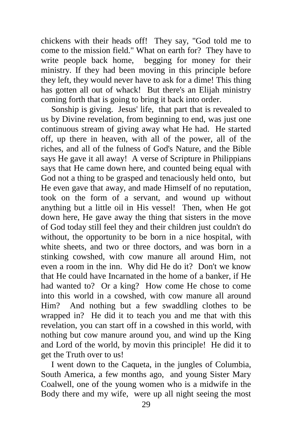chickens with their heads off! They say, "God told me to come to the mission field." What on earth for? They have to write people back home, begging for money for their ministry. If they had been moving in this principle before they left, they would never have to ask for a dime! This thing has gotten all out of whack! But there's an Elijah ministry coming forth that is going to bring it back into order.

Sonship is giving. Jesus' life, that part that is revealed to us by Divine revelation, from beginning to end, was just one continuous stream of giving away what He had. He started off, up there in heaven, with all of the power, all of the riches, and all of the fulness of God's Nature, and the Bible says He gave it all away! A verse of Scripture in Philippians says that He came down here, and counted being equal with God not a thing to be grasped and tenaciously held onto, but He even gave that away, and made Himself of no reputation, took on the form of a servant, and wound up without anything but a little oil in His vessel! Then, when He got down here, He gave away the thing that sisters in the move of God today still feel they and their children just couldn't do without, the opportunity to be born in a nice hospital, with white sheets, and two or three doctors, and was born in a stinking cowshed, with cow manure all around Him, not even a room in the inn. Why did He do it? Don't we know that He could have Incarnated in the home of a banker, if He had wanted to? Or a king? How come He chose to come into this world in a cowshed, with cow manure all around Him? And nothing but a few swaddling clothes to be wrapped in? He did it to teach you and me that with this revelation, you can start off in a cowshed in this world, with nothing but cow manure around you, and wind up the King and Lord of the world, by movin this principle! He did it to get the Truth over to us!

I went down to the Caqueta, in the jungles of Columbia, South America, a few months ago, and young Sister Mary Coalwell, one of the young women who is a midwife in the Body there and my wife, were up all night seeing the most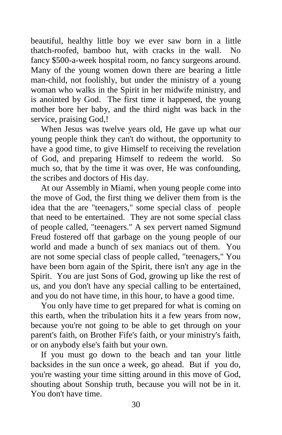beautiful, healthy little boy we ever saw born in a little thatch-roofed, bamboo hut, with cracks in the wall. No fancy \$500-a-week hospital room, no fancy surgeons around. Many of the young women down there are bearing a little man-child, not foolishly, but under the ministry of a young woman who walks in the Spirit in her midwife ministry, and is anointed by God. The first time it happened, the young mother bore her baby, and the third night was back in the service, praising God,!

When Jesus was twelve years old, He gave up what our young people think they can't do without, the opportunity to have a good time, to give Himself to receiving the revelation of God, and preparing Himself to redeem the world. So much so, that by the time it was over, He was confounding, the scribes and doctors of His day.

At our Assembly in Miami, when young people come into the move of God, the first thing we deliver them from is the idea that the are "teenagers," some special class of people that need to be entertained. They are not some special class of people called, "teenagers." A sex pervert named Sigmund Freud fostered off that garbage on the young people of our world and made a bunch of sex maniacs out of them. You are not some special class of people called, "teenagers," You have been born again of the Spirit, there isn't any age in the Spirit. You are just Sons of God, growing up like the rest of us, and you don't have any special calling to be entertained, and you do not have time, in this hour, to have a good time.

You only have time to get prepared for what is coming on this earth, when the tribulation hits it a few years from now, because you're not going to be able to get through on your parent's faith, on Brother Fife's faith, or your ministry's faith, or on anybody else's faith but your own.

If you must go down to the beach and tan your little backsides in the sun once a week, go ahead. But if you do, you're wasting your time sitting around in this move of God, shouting about Sonship truth, because you will not be in it. You don't have time.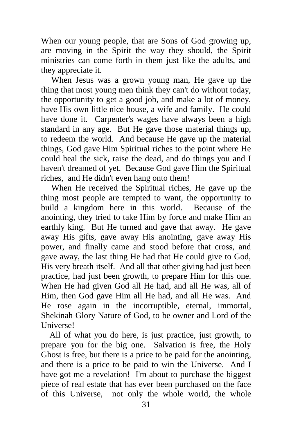When our young people, that are Sons of God growing up, are moving in the Spirit the way they should, the Spirit ministries can come forth in them just like the adults, and they appreciate it.

When Jesus was a grown young man, He gave up the thing that most young men think they can't do without today, the opportunity to get a good job, and make a lot of money, have His own little nice house, a wife and family. He could have done it. Carpenter's wages have always been a high standard in any age. But He gave those material things up, to redeem the world. And because He gave up the material things, God gave Him Spiritual riches to the point where He could heal the sick, raise the dead, and do things you and I haven't dreamed of yet. Because God gave Him the Spiritual riches, and He didn't even hang onto them!

When He received the Spiritual riches, He gave up the thing most people are tempted to want, the opportunity to build a kingdom here in this world. Because of the anointing, they tried to take Him by force and make Him an earthly king. But He turned and gave that away. He gave away His gifts, gave away His anointing, gave away His power, and finally came and stood before that cross, and gave away, the last thing He had that He could give to God, His very breath itself. And all that other giving had just been practice, had just been growth, to prepare Him for this one. When He had given God all He had, and all He was, all of Him, then God gave Him all He had, and all He was. And He rose again in the incorruptible, eternal, immortal, Shekinah Glory Nature of God, to be owner and Lord of the Universe!

 All of what you do here, is just practice, just growth, to prepare you for the big one. Salvation is free, the Holy Ghost is free, but there is a price to be paid for the anointing, and there is a price to be paid to win the Universe. And I have got me a revelation! I'm about to purchase the biggest piece of real estate that has ever been purchased on the face of this Universe, not only the whole world, the whole